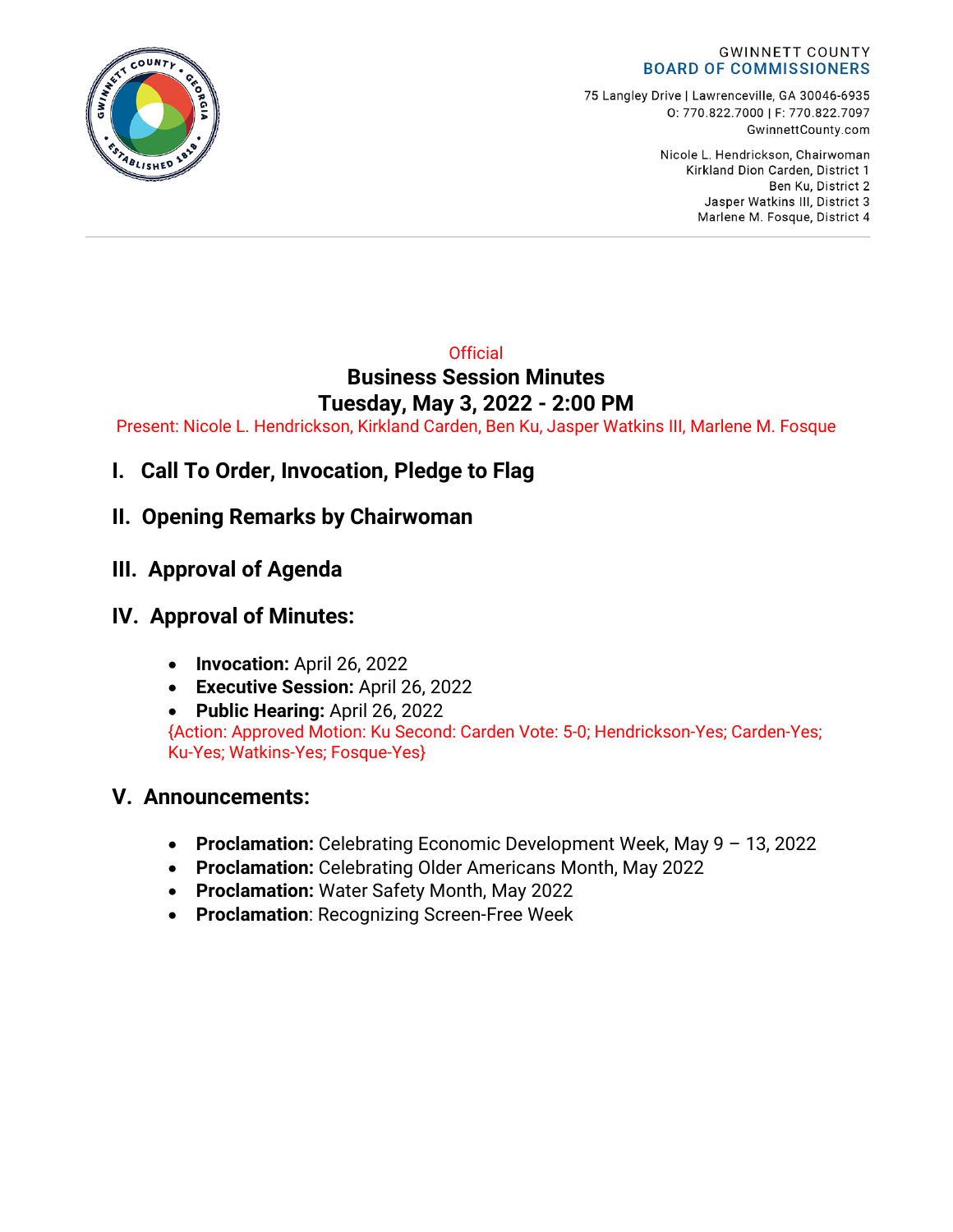

75 Langley Drive | Lawrenceville, GA 30046-6935 0: 770.822.7000 | F: 770.822.7097 GwinnettCounty.com

> Nicole L. Hendrickson, Chairwoman Kirkland Dion Carden, District 1 Ben Ku. District 2 Jasper Watkins III, District 3 Marlene M. Fosque, District 4

### **Official Business Session Minutes Tuesday, May 3, 2022 - 2:00 PM**

Present: Nicole L. Hendrickson, Kirkland Carden, Ben Ku, Jasper Watkins III, Marlene M. Fosque

**I. Call To Order, Invocation, Pledge to Flag**

## **II. Opening Remarks by Chairwoman**

**III. Approval of Agenda**

# **IV. Approval of Minutes:**

- **Invocation:** April 26, 2022
- **Executive Session:** April 26, 2022
- **Public Hearing:** April 26, 2022

{Action: Approved Motion: Ku Second: Carden Vote: 5-0; Hendrickson-Yes; Carden-Yes; Ku-Yes; Watkins-Yes; Fosque-Yes}

## **V. Announcements:**

- **Proclamation:** Celebrating Economic Development Week, May 9 13, 2022
- **Proclamation:** Celebrating Older Americans Month, May 2022
- **Proclamation:** Water Safety Month, May 2022
- **Proclamation**: Recognizing Screen-Free Week

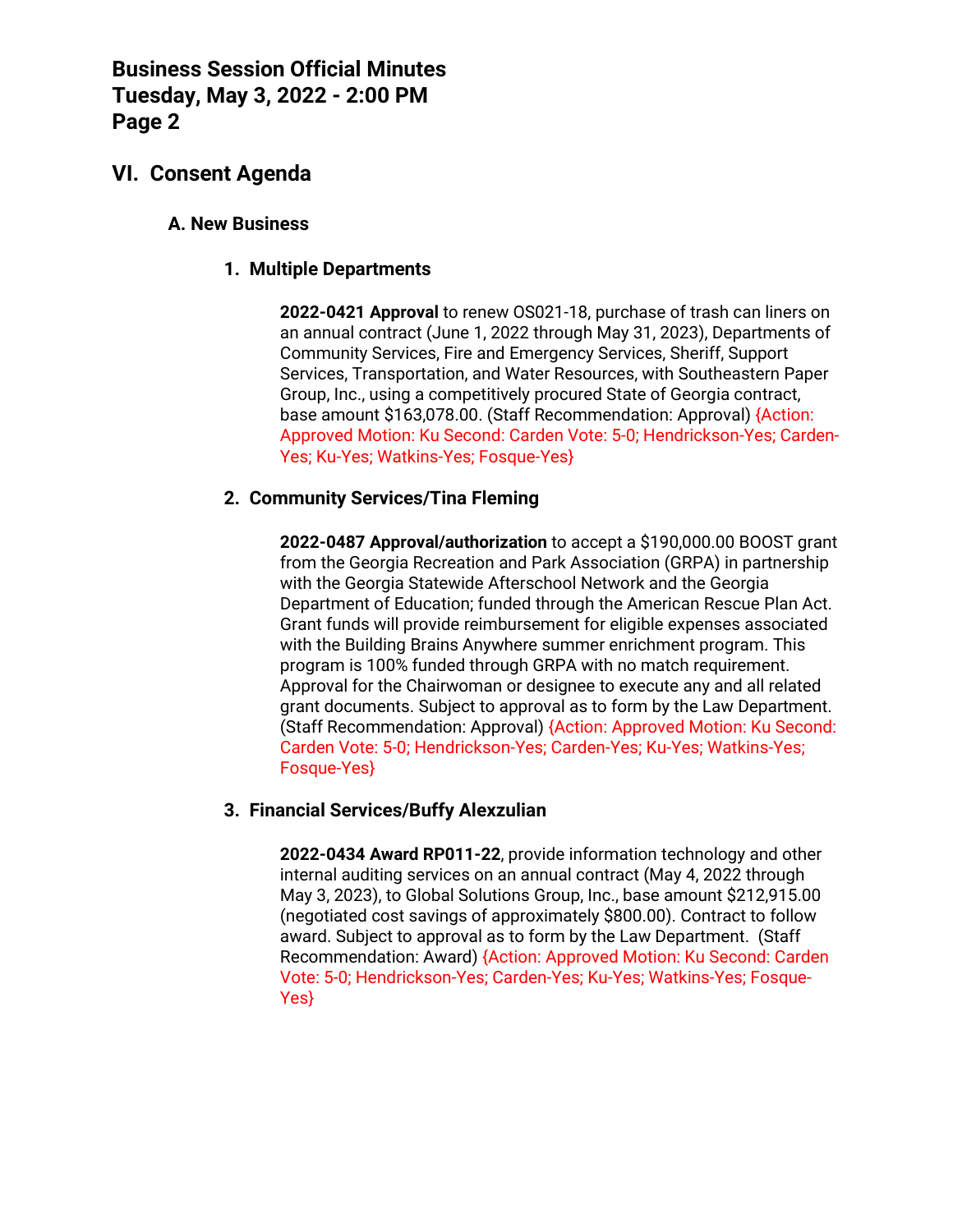## **VI. Consent Agenda**

### **A. New Business**

### **1. Multiple Departments**

**2022-0421 Approval** to renew OS021-18, purchase of trash can liners on an annual contract (June 1, 2022 through May 31, 2023), Departments of Community Services, Fire and Emergency Services, Sheriff, Support Services, Transportation, and Water Resources, with Southeastern Paper Group, Inc., using a competitively procured State of Georgia contract, base amount \$163,078.00. (Staff Recommendation: Approval) {Action: Approved Motion: Ku Second: Carden Vote: 5-0; Hendrickson-Yes; Carden-Yes; Ku-Yes; Watkins-Yes; Fosque-Yes}

### **2. Community Services/Tina Fleming**

**2022-0487 Approval/authorization** to accept a \$190,000.00 BOOST grant from the Georgia Recreation and Park Association (GRPA) in partnership with the Georgia Statewide Afterschool Network and the Georgia Department of Education; funded through the American Rescue Plan Act. Grant funds will provide reimbursement for eligible expenses associated with the Building Brains Anywhere summer enrichment program. This program is 100% funded through GRPA with no match requirement. Approval for the Chairwoman or designee to execute any and all related grant documents. Subject to approval as to form by the Law Department. (Staff Recommendation: Approval) {Action: Approved Motion: Ku Second: Carden Vote: 5-0; Hendrickson-Yes; Carden-Yes; Ku-Yes; Watkins-Yes; Fosque-Yes}

### **3. Financial Services/Buffy Alexzulian**

**2022-0434 Award RP011-22**, provide information technology and other internal auditing services on an annual contract (May 4, 2022 through May 3, 2023), to Global Solutions Group, Inc., base amount \$212,915.00 (negotiated cost savings of approximately \$800.00). Contract to follow award. Subject to approval as to form by the Law Department. (Staff Recommendation: Award) {Action: Approved Motion: Ku Second: Carden Vote: 5-0; Hendrickson-Yes; Carden-Yes; Ku-Yes; Watkins-Yes; Fosque-Yes}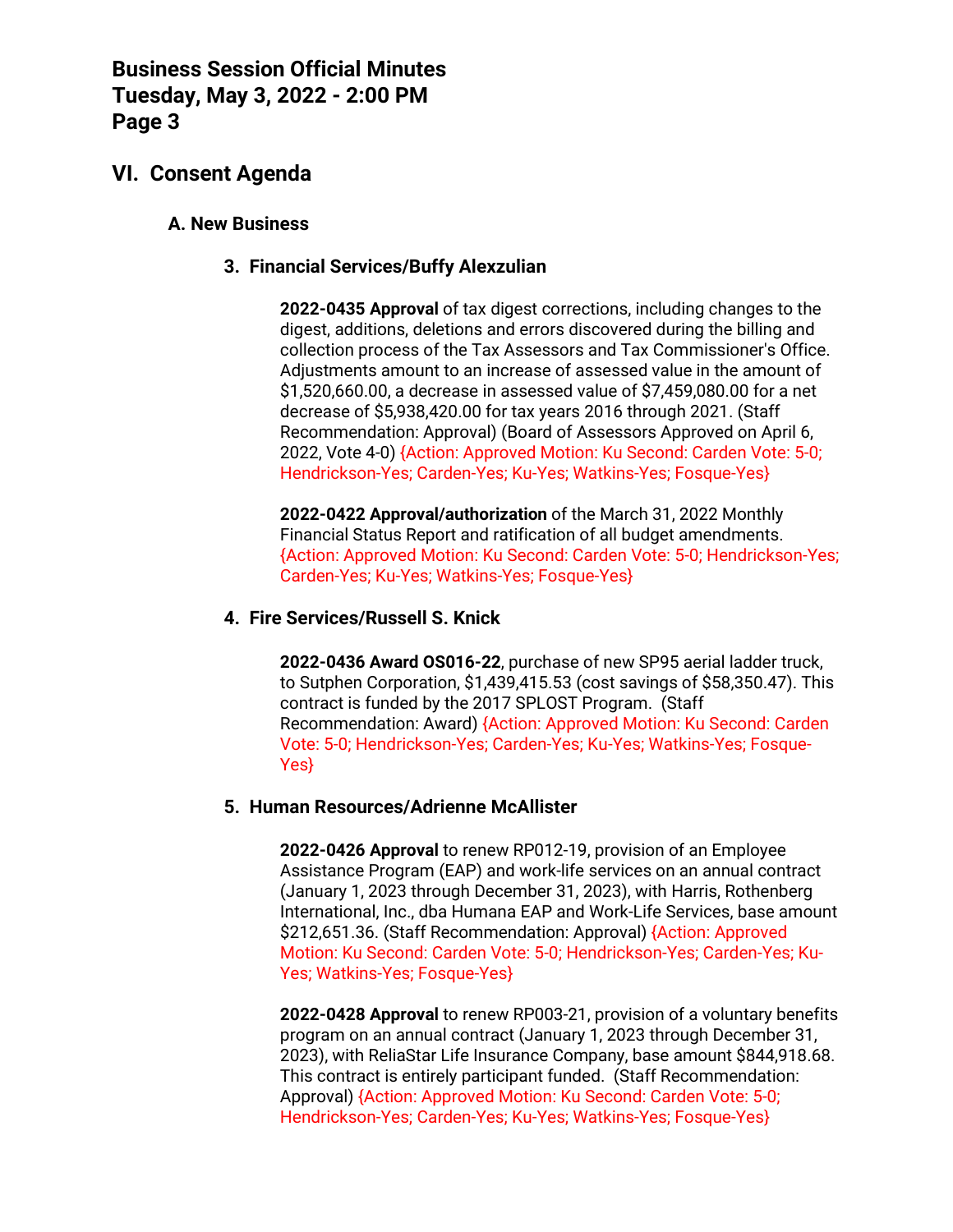## **VI. Consent Agenda**

#### **A. New Business**

#### **3. Financial Services/Buffy Alexzulian**

**2022-0435 Approval** of tax digest corrections, including changes to the digest, additions, deletions and errors discovered during the billing and collection process of the Tax Assessors and Tax Commissioner's Office. Adjustments amount to an increase of assessed value in the amount of \$1,520,660.00, a decrease in assessed value of \$7,459,080.00 for a net decrease of \$5,938,420.00 for tax years 2016 through 2021. (Staff Recommendation: Approval) (Board of Assessors Approved on April 6, 2022, Vote 4-0) {Action: Approved Motion: Ku Second: Carden Vote: 5-0; Hendrickson-Yes; Carden-Yes; Ku-Yes; Watkins-Yes; Fosque-Yes}

**2022-0422 Approval/authorization** of the March 31, 2022 Monthly Financial Status Report and ratification of all budget amendments. {Action: Approved Motion: Ku Second: Carden Vote: 5-0; Hendrickson-Yes; Carden-Yes; Ku-Yes; Watkins-Yes; Fosque-Yes}

#### **4. Fire Services/Russell S. Knick**

**2022-0436 Award OS016-22**, purchase of new SP95 aerial ladder truck, to Sutphen Corporation, \$1,439,415.53 (cost savings of \$58,350.47). This contract is funded by the 2017 SPLOST Program. (Staff Recommendation: Award) {Action: Approved Motion: Ku Second: Carden Vote: 5-0; Hendrickson-Yes; Carden-Yes; Ku-Yes; Watkins-Yes; Fosque-Yes}

#### **5. Human Resources/Adrienne McAllister**

**2022-0426 Approval** to renew RP012-19, provision of an Employee Assistance Program (EAP) and work-life services on an annual contract (January 1, 2023 through December 31, 2023), with Harris, Rothenberg International, Inc., dba Humana EAP and Work-Life Services, base amount \$212,651.36. (Staff Recommendation: Approval) {Action: Approved Motion: Ku Second: Carden Vote: 5-0; Hendrickson-Yes; Carden-Yes; Ku-Yes; Watkins-Yes; Fosque-Yes}

**2022-0428 Approval** to renew RP003-21, provision of a voluntary benefits program on an annual contract (January 1, 2023 through December 31, 2023), with ReliaStar Life Insurance Company, base amount \$844,918.68. This contract is entirely participant funded. (Staff Recommendation: Approval) {Action: Approved Motion: Ku Second: Carden Vote: 5-0; Hendrickson-Yes; Carden-Yes; Ku-Yes; Watkins-Yes; Fosque-Yes}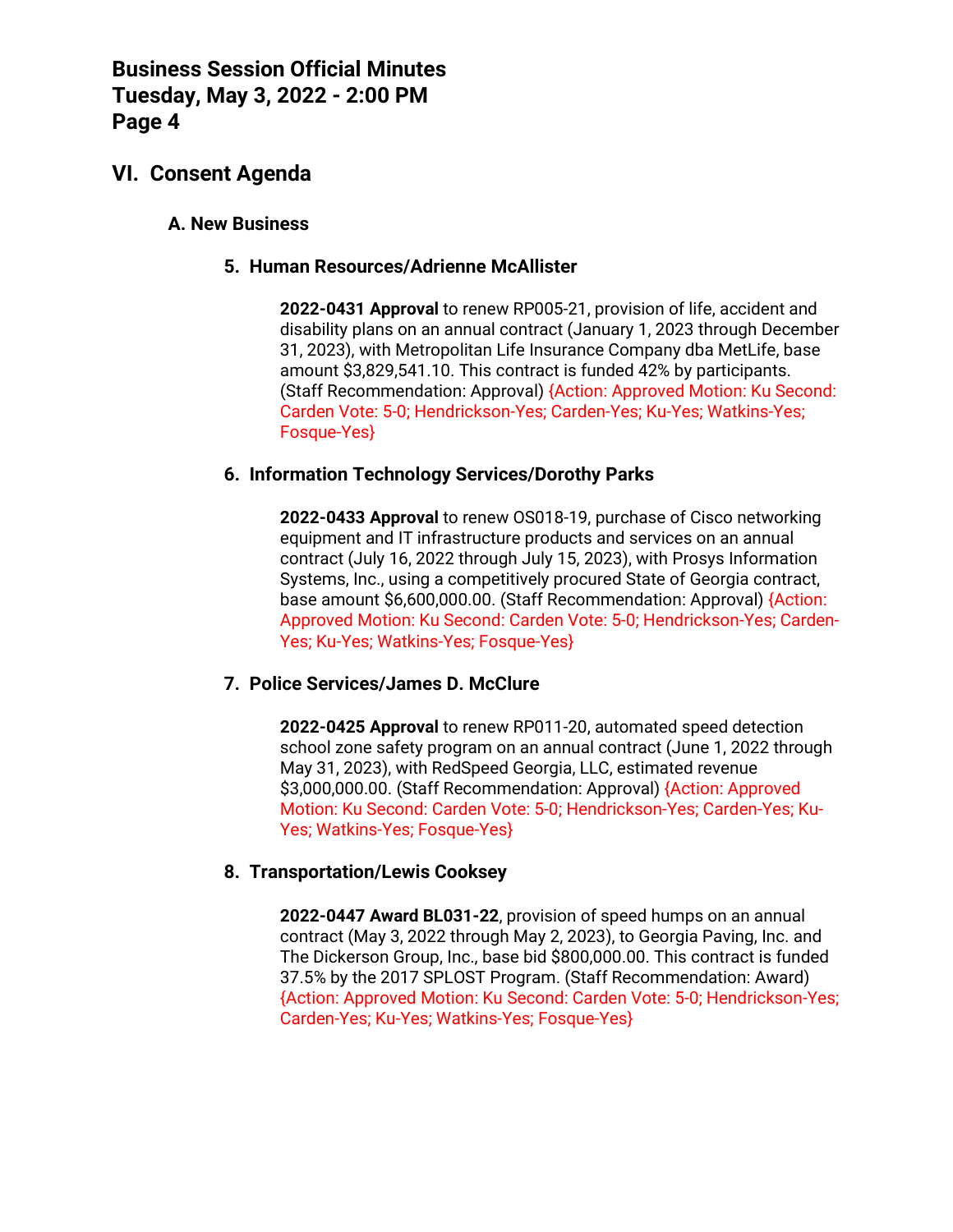## **VI. Consent Agenda**

### **A. New Business**

#### **5. Human Resources/Adrienne McAllister**

**2022-0431 Approval** to renew RP005-21, provision of life, accident and disability plans on an annual contract (January 1, 2023 through December 31, 2023), with Metropolitan Life Insurance Company dba MetLife, base amount \$3,829,541.10. This contract is funded 42% by participants. (Staff Recommendation: Approval) {Action: Approved Motion: Ku Second: Carden Vote: 5-0; Hendrickson-Yes; Carden-Yes; Ku-Yes; Watkins-Yes; Fosque-Yes}

#### **6. Information Technology Services/Dorothy Parks**

**2022-0433 Approval** to renew OS018-19, purchase of Cisco networking equipment and IT infrastructure products and services on an annual contract (July 16, 2022 through July 15, 2023), with Prosys Information Systems, Inc., using a competitively procured State of Georgia contract, base amount \$6,600,000.00. (Staff Recommendation: Approval) {Action: Approved Motion: Ku Second: Carden Vote: 5-0; Hendrickson-Yes; Carden-Yes; Ku-Yes; Watkins-Yes; Fosque-Yes}

### **7. Police Services/James D. McClure**

**2022-0425 Approval** to renew RP011-20, automated speed detection school zone safety program on an annual contract (June 1, 2022 through May 31, 2023), with RedSpeed Georgia, LLC, estimated revenue \$3,000,000.00. (Staff Recommendation: Approval) {Action: Approved Motion: Ku Second: Carden Vote: 5-0; Hendrickson-Yes; Carden-Yes; Ku-Yes; Watkins-Yes; Fosque-Yes}

### **8. Transportation/Lewis Cooksey**

**2022-0447 Award BL031-22**, provision of speed humps on an annual contract (May 3, 2022 through May 2, 2023), to Georgia Paving, Inc. and The Dickerson Group, Inc., base bid \$800,000.00. This contract is funded 37.5% by the 2017 SPLOST Program. (Staff Recommendation: Award) {Action: Approved Motion: Ku Second: Carden Vote: 5-0; Hendrickson-Yes; Carden-Yes; Ku-Yes; Watkins-Yes; Fosque-Yes}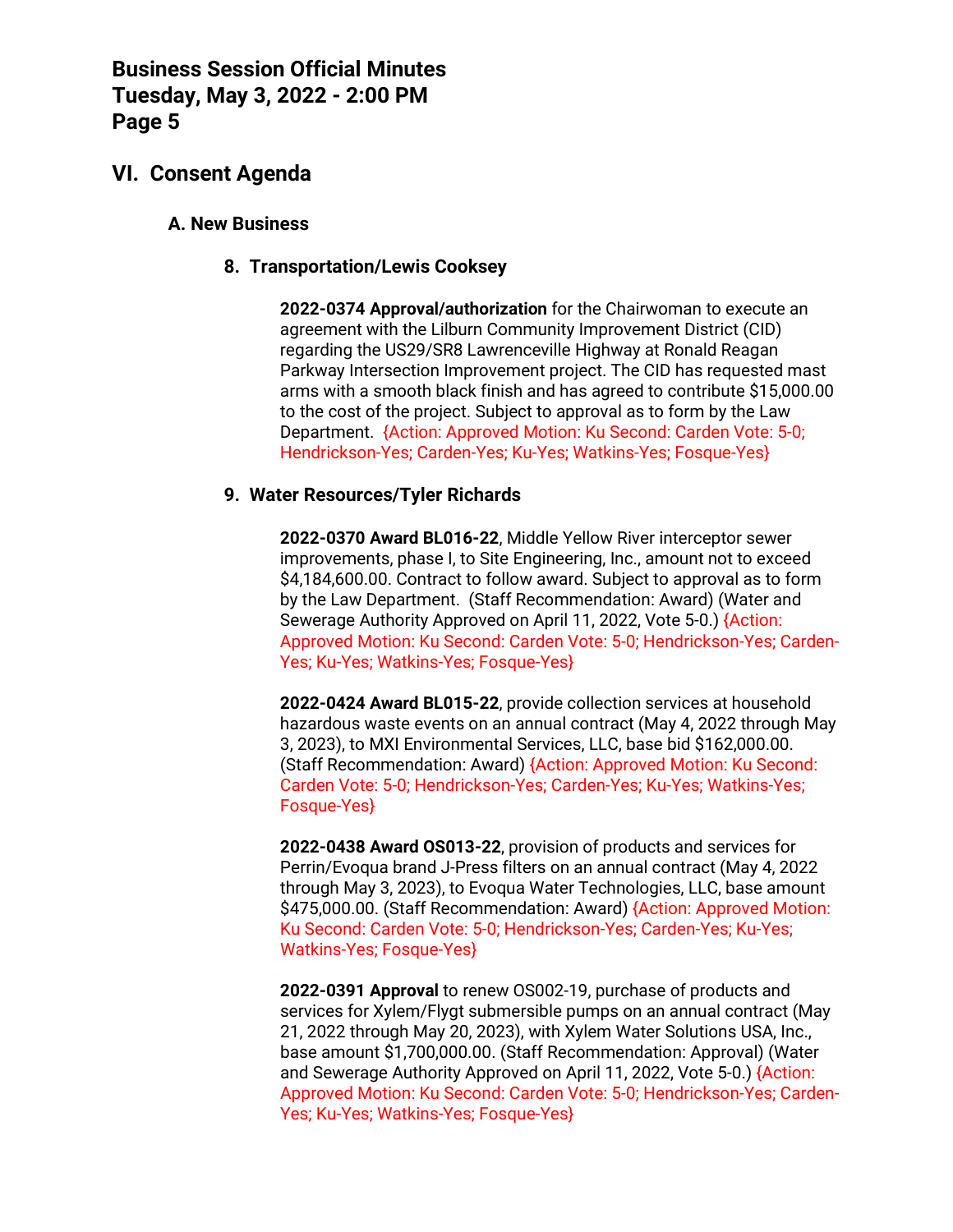## **VI. Consent Agenda**

#### **A. New Business**

#### **8. Transportation/Lewis Cooksey**

**2022-0374 Approval/authorization** for the Chairwoman to execute an agreement with the Lilburn Community Improvement District (CID) regarding the US29/SR8 Lawrenceville Highway at Ronald Reagan Parkway Intersection Improvement project. The CID has requested mast arms with a smooth black finish and has agreed to contribute \$15,000.00 to the cost of the project. Subject to approval as to form by the Law Department. {Action: Approved Motion: Ku Second: Carden Vote: 5-0; Hendrickson-Yes; Carden-Yes; Ku-Yes; Watkins-Yes; Fosque-Yes}

#### **9. Water Resources/Tyler Richards**

**2022-0370 Award BL016-22**, Middle Yellow River interceptor sewer improvements, phase I, to Site Engineering, Inc., amount not to exceed \$4,184,600.00. Contract to follow award. Subject to approval as to form by the Law Department. (Staff Recommendation: Award) (Water and Sewerage Authority Approved on April 11, 2022, Vote 5-0.) {Action: Approved Motion: Ku Second: Carden Vote: 5-0; Hendrickson-Yes; Carden-Yes; Ku-Yes; Watkins-Yes; Fosque-Yes}

**2022-0424 Award BL015-22**, provide collection services at household hazardous waste events on an annual contract (May 4, 2022 through May 3, 2023), to MXI Environmental Services, LLC, base bid \$162,000.00. (Staff Recommendation: Award) {Action: Approved Motion: Ku Second: Carden Vote: 5-0; Hendrickson-Yes; Carden-Yes; Ku-Yes; Watkins-Yes; Fosque-Yes}

**2022-0438 Award OS013-22**, provision of products and services for Perrin/Evoqua brand J-Press filters on an annual contract (May 4, 2022 through May 3, 2023), to Evoqua Water Technologies, LLC, base amount \$475,000.00. (Staff Recommendation: Award) {Action: Approved Motion: Ku Second: Carden Vote: 5-0; Hendrickson-Yes; Carden-Yes; Ku-Yes; Watkins-Yes; Fosque-Yes}

**2022-0391 Approval** to renew OS002-19, purchase of products and services for Xylem/Flygt submersible pumps on an annual contract (May 21, 2022 through May 20, 2023), with Xylem Water Solutions USA, Inc., base amount \$1,700,000.00. (Staff Recommendation: Approval) (Water and Sewerage Authority Approved on April 11, 2022, Vote 5-0.) {Action: Approved Motion: Ku Second: Carden Vote: 5-0; Hendrickson-Yes; Carden-Yes; Ku-Yes; Watkins-Yes; Fosque-Yes}